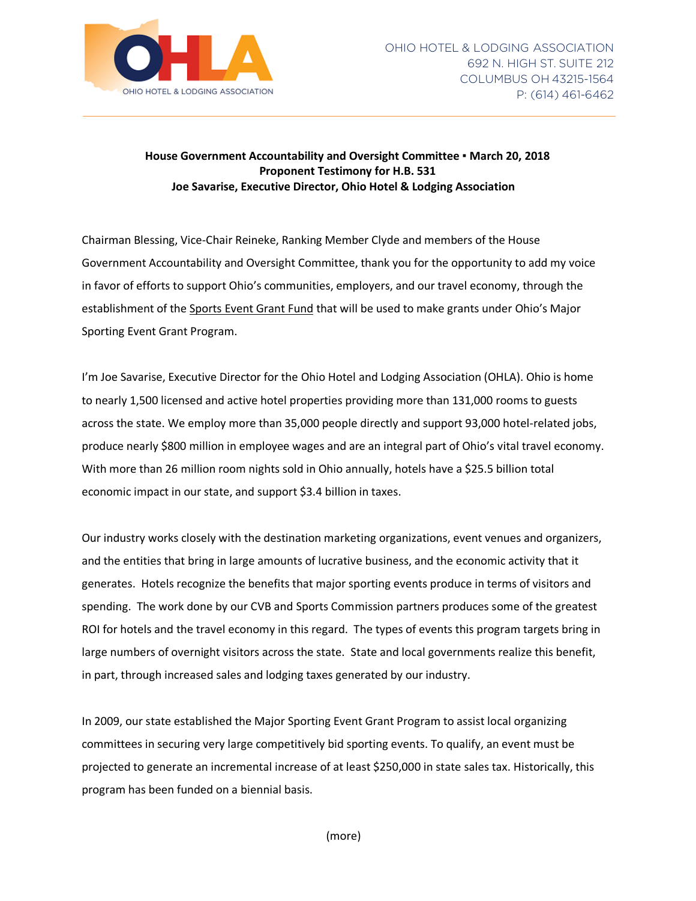

## **House Government Accountability and Oversight Committee ▪ March 20, 2018 Proponent Testimony for H.B. 531 Joe Savarise, Executive Director, Ohio Hotel & Lodging Association**

Chairman Blessing, Vice-Chair Reineke, Ranking Member Clyde and members of the House Government Accountability and Oversight Committee, thank you for the opportunity to add my voice in favor of efforts to support Ohio's communities, employers, and our travel economy, through the establishment of the Sports Event Grant Fund that will be used to make grants under Ohio's Major Sporting Event Grant Program.

I'm Joe Savarise, Executive Director for the Ohio Hotel and Lodging Association (OHLA). Ohio is home to nearly 1,500 licensed and active hotel properties providing more than 131,000 rooms to guests across the state. We employ more than 35,000 people directly and support 93,000 hotel-related jobs, produce nearly \$800 million in employee wages and are an integral part of Ohio's vital travel economy. With more than 26 million room nights sold in Ohio annually, hotels have a \$25.5 billion total economic impact in our state, and support \$3.4 billion in taxes.

Our industry works closely with the destination marketing organizations, event venues and organizers, and the entities that bring in large amounts of lucrative business, and the economic activity that it generates. Hotels recognize the benefits that major sporting events produce in terms of visitors and spending. The work done by our CVB and Sports Commission partners produces some of the greatest ROI for hotels and the travel economy in this regard. The types of events this program targets bring in large numbers of overnight visitors across the state. State and local governments realize this benefit, in part, through increased sales and lodging taxes generated by our industry.

In 2009, our state established the Major Sporting Event Grant Program to assist local organizing committees in securing very large competitively bid sporting events. To qualify, an event must be projected to generate an incremental increase of at least \$250,000 in state sales tax. Historically, this program has been funded on a biennial basis.